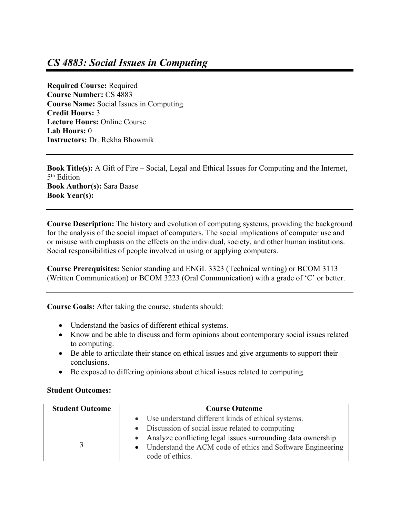## *CS 4883: Social Issues in Computing*

**Required Course:** Required **Course Number:** CS 4883 **Course Name:** Social Issues in Computing **Credit Hours:** 3 **Lecture Hours:** Online Course **Lab Hours:** 0 **Instructors:** Dr. Rekha Bhowmik

**Book Title(s):** A Gift of Fire – Social, Legal and Ethical Issues for Computing and the Internet, 5th Edition **Book Author(s):** Sara Baase **Book Year(s):**

**Course Description:** The history and evolution of computing systems, providing the background for the analysis of the social impact of computers. The social implications of computer use and or misuse with emphasis on the effects on the individual, society, and other human institutions. Social responsibilities of people involved in using or applying computers.

**Course Prerequisites:** Senior standing and ENGL 3323 (Technical writing) or BCOM 3113 (Written Communication) or BCOM 3223 (Oral Communication) with a grade of 'C' or better.

**Course Goals:** After taking the course, students should:

- Understand the basics of different ethical systems.
- Know and be able to discuss and form opinions about contemporary social issues related to computing.
- Be able to articulate their stance on ethical issues and give arguments to support their conclusions.
- Be exposed to differing opinions about ethical issues related to computing.

## **Student Outcomes:**

| <b>Student Outcome</b> | <b>Course Outcome</b>                                         |
|------------------------|---------------------------------------------------------------|
|                        | • Use understand different kinds of ethical systems.          |
|                        | • Discussion of social issue related to computing             |
|                        | • Analyze conflicting legal issues surrounding data ownership |
|                        | • Understand the ACM code of ethics and Software Engineering  |
|                        | code of ethics.                                               |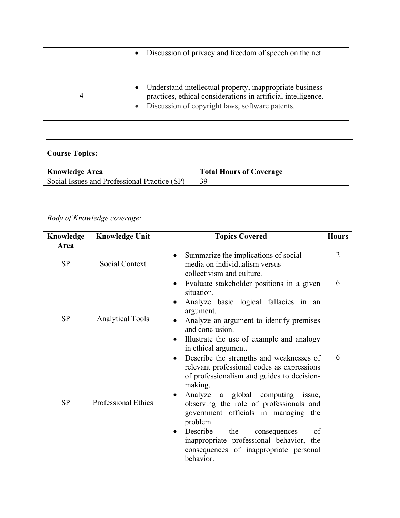| • Discussion of privacy and freedom of speech on the net                                                                                                                         |
|----------------------------------------------------------------------------------------------------------------------------------------------------------------------------------|
| • Understand intellectual property, inappropriate business<br>practices, ethical considerations in artificial intelligence.<br>• Discussion of copyright laws, software patents. |

## **Course Topics:**

| <b>Knowledge Area</b>                        | <b>Total Hours of Coverage</b> |
|----------------------------------------------|--------------------------------|
| Social Issues and Professional Practice (SP) |                                |

## *Body of Knowledge coverage:*

| Knowledge | <b>Knowledge Unit</b>   | <b>Topics Covered</b>                                                                                                                                                                                                                                                                                                                                                                                                                 | <b>Hours</b>   |
|-----------|-------------------------|---------------------------------------------------------------------------------------------------------------------------------------------------------------------------------------------------------------------------------------------------------------------------------------------------------------------------------------------------------------------------------------------------------------------------------------|----------------|
| Area      |                         |                                                                                                                                                                                                                                                                                                                                                                                                                                       |                |
| SP        | <b>Social Context</b>   | Summarize the implications of social<br>media on individualism versus<br>collectivism and culture.                                                                                                                                                                                                                                                                                                                                    | $\overline{2}$ |
| <b>SP</b> | <b>Analytical Tools</b> | Evaluate stakeholder positions in a given<br>situation.<br>Analyze basic logical fallacies in an<br>argument.<br>Analyze an argument to identify premises<br>and conclusion.<br>Illustrate the use of example and analogy<br>in ethical argument.                                                                                                                                                                                     | 6              |
| <b>SP</b> | Professional Ethics     | Describe the strengths and weaknesses of<br>relevant professional codes as expressions<br>of professionalism and guides to decision-<br>making.<br>Analyze<br>a global computing<br>issue,<br>observing the role of professionals and<br>government officials in managing the<br>problem.<br>Describe<br>the<br>of<br>consequences<br>inappropriate professional behavior, the<br>consequences of inappropriate personal<br>behavior. | 6              |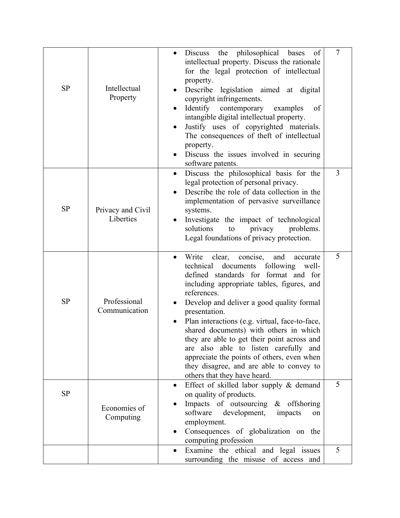| SP        | Intellectual<br>Property       | Discuss the philosophical bases<br>of<br>intellectual property. Discuss the rationale<br>for the legal protection of intellectual<br>property.<br>Describe legislation aimed at digital<br>copyright infringements.<br>Identify contemporary<br>of<br>examples<br>intangible digital intellectual property.<br>Justify uses of copyrighted materials.<br>$\bullet$<br>The consequences of theft of intellectual<br>property.<br>Discuss the issues involved in securing<br>software patents.                                                                                              | $\overline{7}$ |
|-----------|--------------------------------|-------------------------------------------------------------------------------------------------------------------------------------------------------------------------------------------------------------------------------------------------------------------------------------------------------------------------------------------------------------------------------------------------------------------------------------------------------------------------------------------------------------------------------------------------------------------------------------------|----------------|
| <b>SP</b> | Privacy and Civil<br>Liberties | Discuss the philosophical basis for the<br>$\bullet$<br>legal protection of personal privacy.<br>Describe the role of data collection in the<br>implementation of pervasive surveillance<br>systems.<br>Investigate the impact of technological<br>solutions<br>problems.<br>privacy<br>to<br>Legal foundations of privacy protection.                                                                                                                                                                                                                                                    | 3              |
| <b>SP</b> | Professional<br>Communication  | Write<br>clear, concise,<br>and<br>$\bullet$<br>accurate<br>documents<br>technical<br>following<br>well-<br>defined standards for format and for<br>including appropriate tables, figures, and<br>references.<br>Develop and deliver a good quality formal<br>presentation.<br>Plan interactions (e.g. virtual, face-to-face,<br>shared documents) with others in which<br>they are able to get their point across and<br>are also able to listen carefully and<br>appreciate the points of others, even when<br>they disagree, and are able to convey to<br>others that they have heard. | 5              |
| SP        | Economies of<br>Computing      | Effect of skilled labor supply & demand<br>$\bullet$<br>on quality of products.<br>Impacts of outsourcing & offshoring<br>software<br>development,<br>impacts<br>on<br>employment.<br>Consequences of globalization on the<br>computing profession                                                                                                                                                                                                                                                                                                                                        | 5              |
|           |                                | Examine the ethical and legal issues<br>surrounding the misuse of access and                                                                                                                                                                                                                                                                                                                                                                                                                                                                                                              | 5              |